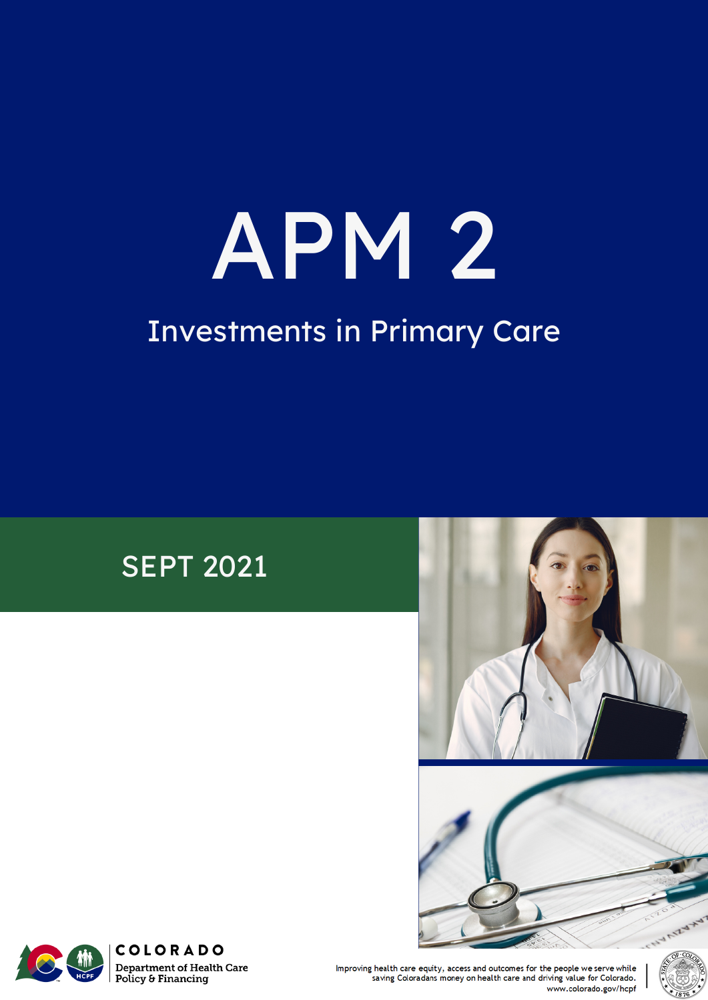# APM 2 Investments in Primary Care

#### SEPT 2021







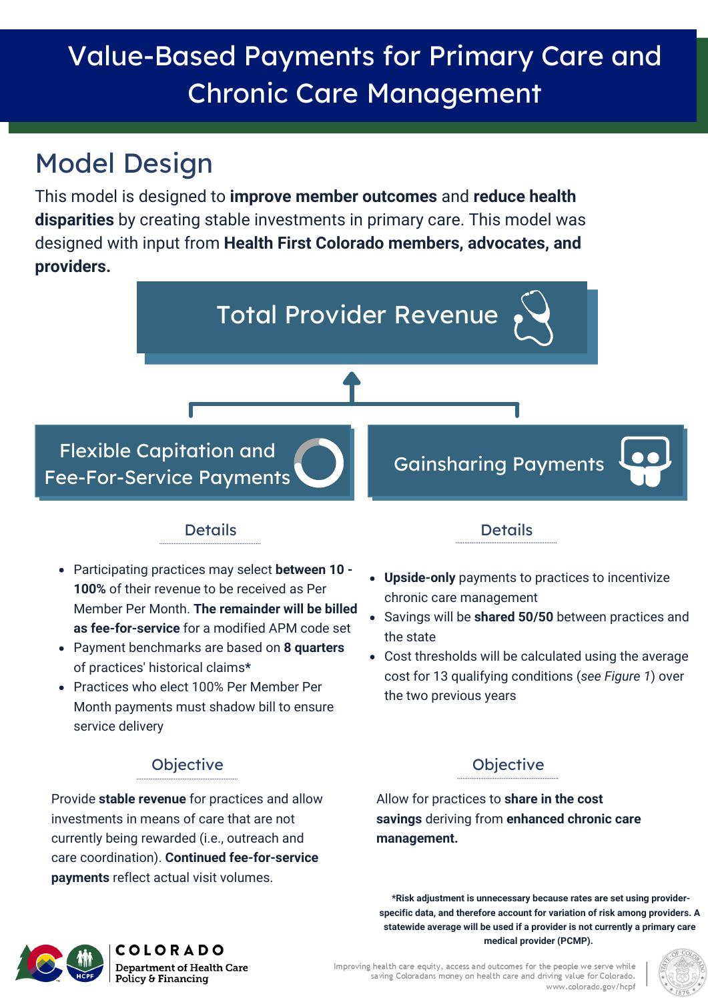# Value-Based Payments for Primary Care and Chronic Care Management

## Model Design

This model is designed to **improve member outcomes** and **reduce health disparities** by creating stable investments in primary care. This model was designed with input from **Health First Colorado members, advocates, and providers.**



#### Details Details

- Participating practices may select **between 10 - 100%** of their revenue to be received as Per Member Per Month. **The remainder will be billed as fee-for-service** for a modified APM code set
- Payment benchmarks are based on **8 quarters** of practices' historical claims**\***
- Practices who elect 100% Per Member Per Month payments must shadow bill to ensure service delivery

#### **Objective**

Provide **stable revenue** for practices and allow investments in means of care that are not currently being rewarded (i.e., outreach and care coordination). **Continued fee-for-service payments** reflect actual visit volumes.

- **Upside-only** payments to practices to incentivize chronic care management
- Savings will be **shared 50/50** between practices and the state
- Cost thresholds will be calculated using the average cost for 13 qualifying conditions (*see Figure 1*) over the two previous years

#### **Objective**

Allow for practices to **share in the cost savings** deriving from **enhanced chronic care management.**

**\*Risk adjustment is unnecessary because rates are set using providerspecific data, and therefore account for variation of risk among providers. A statewide average will be used if a provider is not currently a primary care medical provider (PCMP).**



**COLORADO Department of Health Care** Policy & Financing

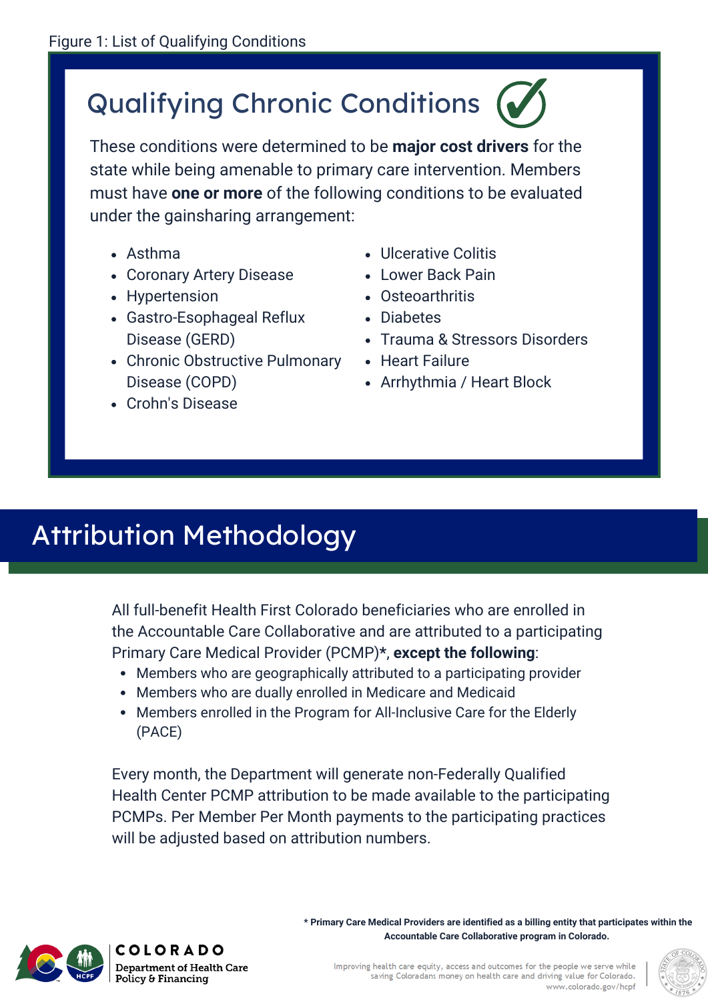# Qualifying Chronic Conditions

These conditions were determined to be **major cost drivers** for the state while being amenable to primary care intervention. Members must have **one or more** of the following conditions to be evaluated under the gainsharing arrangement:

- Asthma
- Coronary Artery Disease
- Hypertension
- Gastro-Esophageal Reflux Disease (GERD)
- Chronic Obstructive Pulmonary Disease (COPD)
- Crohn's Disease
- Ulcerative Colitis
- Lower Back Pain
- Osteoarthritis
- Diabetes
- Trauma & Stressors Disorders
- Heart Failure
- Arrhythmia / Heart Block

### Attribution Methodology

All full-benefit Health First Colorado beneficiaries who are enrolled in the Accountable Care Collaborative and are attributed to a participating Primary Care Medical Provider (PCMP)**\***, **except the following**:

- Members who are geographically attributed to a participating provider
- Members who are dually enrolled in Medicare and Medicaid
- Members enrolled in the Program for All-Inclusive Care for the Elderly (PACE)

Every month, the Department will generate non-Federally Qualified Health Center PCMP attribution to be made available to the participating PCMPs. Per Member Per Month payments to the participating practices will be adjusted based on attribution numbers.

> **\* Primary Care Medical Providers are identified as a billing entity that participates within the Accountable Care Collaborative program in Colorado.**



**COLORADO Department of Health Care** Policy & Financing

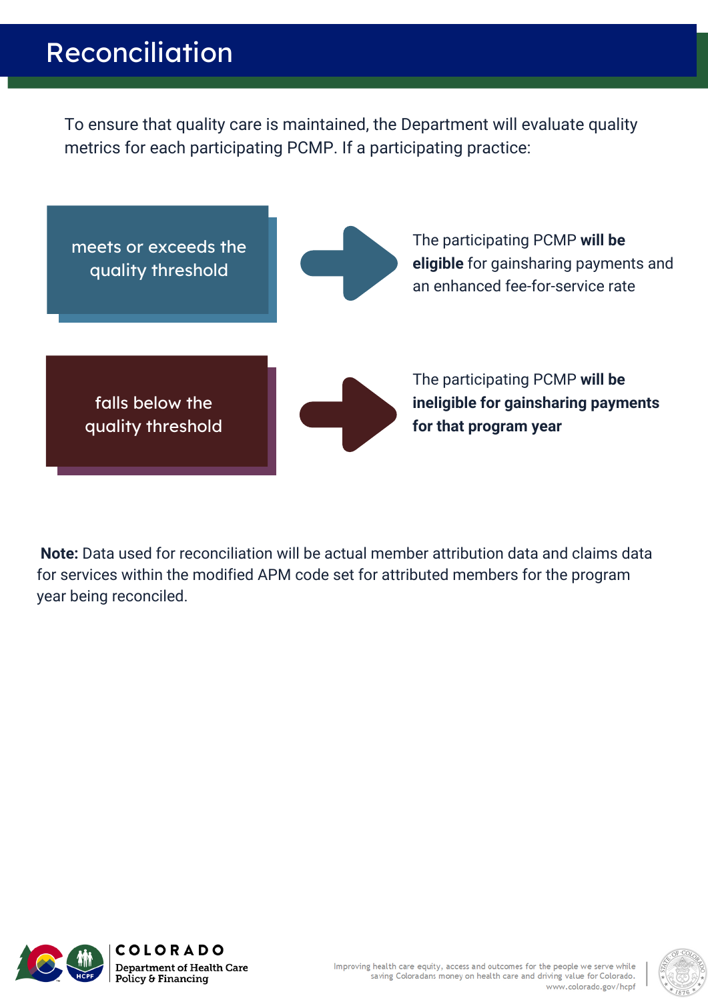#### Reconciliation

To ensure that quality care is maintained, the Department will evaluate quality metrics for each participating PCMP. If a participating practice:



**Note:** Data used for reconciliation will be actual member attribution data and claims data for services within the modified APM code set for attributed members for the program year being reconciled.





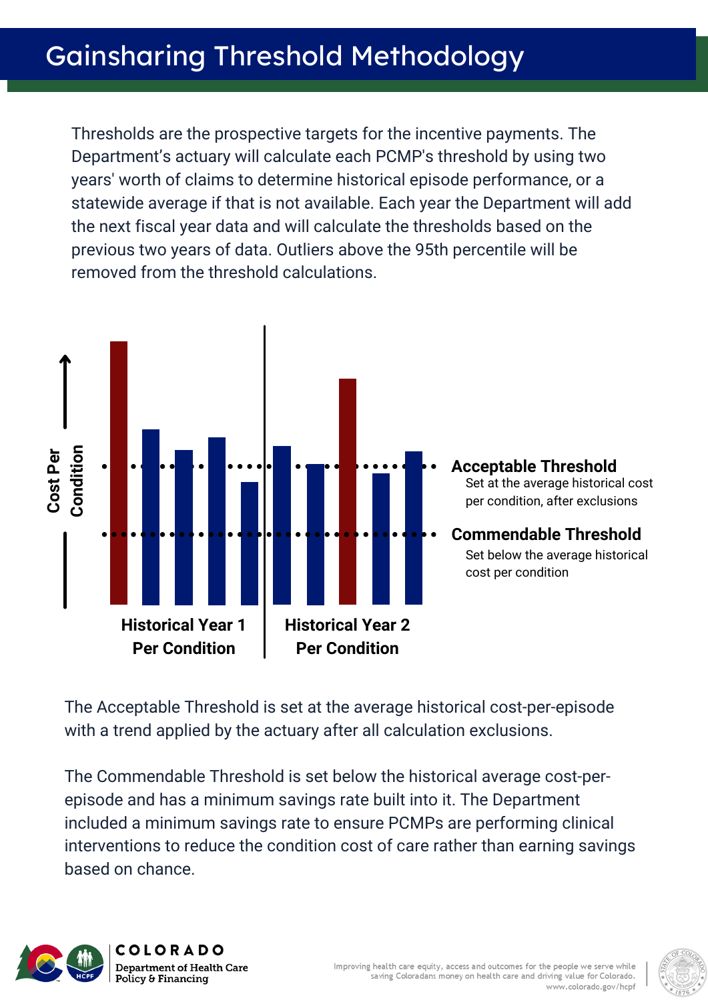Thresholds are the prospective targets for the incentive payments. The Department's actuary will calculate each PCMP's threshold by using two years' worth of claims to determine historical episode performance, or a statewide average if that is not available. Each year the Department will add the next fiscal year data and will calculate the thresholds based on the previous two years of data. Outliers above the 95th percentile will be removed from the threshold calculations.



The Acceptable Threshold is set at the average historical cost-per-episode with a trend applied by the actuary after all calculation exclusions.

The Commendable Threshold is set below the historical average cost-perepisode and has a minimum savings rate built into it. The Department included a minimum savings rate to ensure PCMPs are performing clinical interventions to reduce the condition cost of care rather than earning savings based on chance.



**COLORADO Department of Health Care** Policy & Financing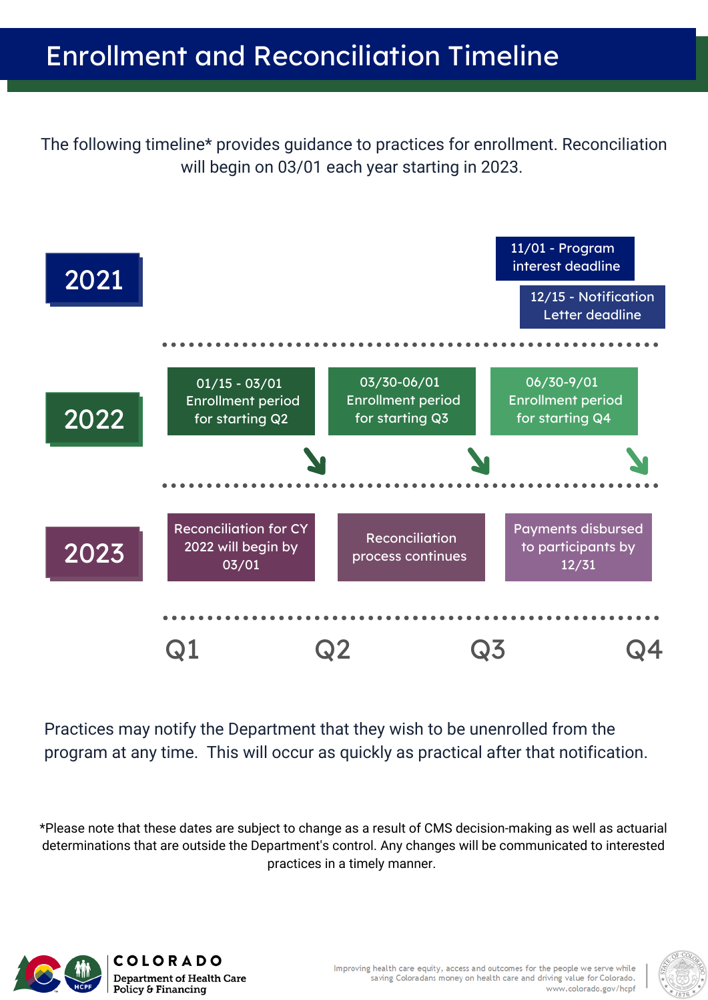The following timeline\* provides guidance to practices for enrollment. Reconciliation will begin on 03/01 each year starting in 2023.



Practices may notify the Department that they wish to be unenrolled from the program at any time. This will occur as quickly as practical after that notification.

\*Please note that these dates are subject to change as a result of CMS decision-making as well as actuarial determinations that are outside the Department's control. Any changes will be communicated to interested practices in a timely manner.



**COLORADO Department of Health Care** Policy & Financing

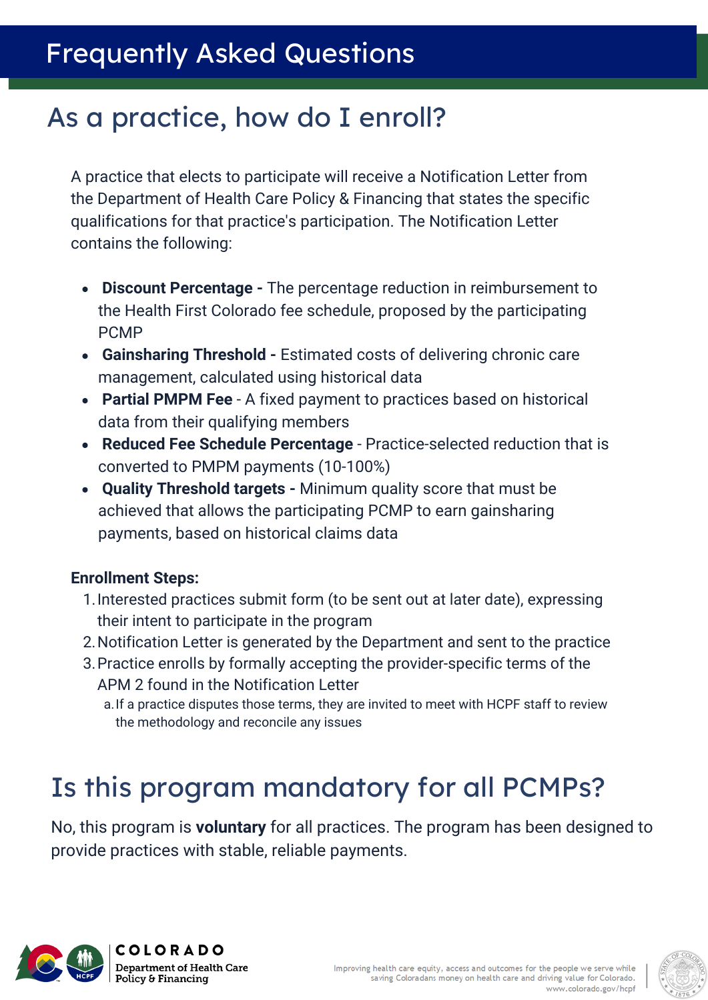#### Frequently Asked Questions

#### As a practice, how do I enroll?

A practice that elects to participate will receive a Notification Letter from the Department of Health Care Policy & Financing that states the specific qualifications for that practice's participation. The Notification Letter contains the following:

- **Discount Percentage -** The percentage reduction in reimbursement to the Health First Colorado fee schedule, proposed by the participating PCMP
- **Gainsharing Threshold** Estimated costs of delivering chronic care management, calculated using historical data
- **Partial PMPM Fee**  A fixed payment to practices based on historical data from their qualifying members
- **Reduced Fee Schedule Percentage**  Practice-selected reduction that is converted to PMPM payments (10-100%)
- **Quality Threshold targets** Minimum quality score that must be achieved that allows the participating PCMP to earn gainsharing payments, based on historical claims data

#### **Enrollment Steps:**

- 1.Interested practices submit form (to be sent out at later date), expressing their intent to participate in the program
- 2.Notification Letter is generated by the Department and sent to the practice
- 3.Practice enrolls by formally accepting the provider-specific terms of the APM 2 found in the Notification Letter
	- a.If a practice disputes those terms, they are invited to meet with HCPF staff to review the methodology and reconcile any issues

### Is this program mandatory for all PCMPs?

No, this program is **voluntary** for all practices. The program has been designed to provide practices with stable, reliable payments.



**COLORADO Department of Health Care** Policy & Financing